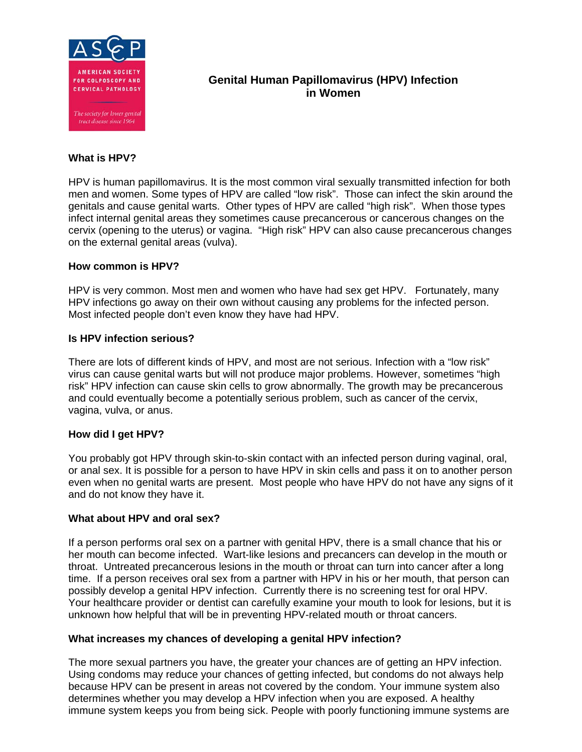

# **Genital Human Papillomavirus (HPV) Infection in Women**

## **What is HPV?**

HPV is human papillomavirus. It is the most common viral sexually transmitted infection for both men and women. Some types of HPV are called "low risk". Those can infect the skin around the genitals and cause genital warts. Other types of HPV are called "high risk". When those types infect internal genital areas they sometimes cause precancerous or cancerous changes on the cervix (opening to the uterus) or vagina. "High risk" HPV can also cause precancerous changes on the external genital areas (vulva).

### **How common is HPV?**

HPV is very common. Most men and women who have had sex get HPV. Fortunately, many HPV infections go away on their own without causing any problems for the infected person. Most infected people don't even know they have had HPV.

### **Is HPV infection serious?**

There are lots of different kinds of HPV, and most are not serious. Infection with a "low risk" virus can cause genital warts but will not produce major problems. However, sometimes "high risk" HPV infection can cause skin cells to grow abnormally. The growth may be precancerous and could eventually become a potentially serious problem, such as cancer of the cervix, vagina, vulva, or anus.

# **How did I get HPV?**

You probably got HPV through skin-to-skin contact with an infected person during vaginal, oral, or anal sex. It is possible for a person to have HPV in skin cells and pass it on to another person even when no genital warts are present. Most people who have HPV do not have any signs of it and do not know they have it.

### **What about HPV and oral sex?**

If a person performs oral sex on a partner with genital HPV, there is a small chance that his or her mouth can become infected. Wart-like lesions and precancers can develop in the mouth or throat. Untreated precancerous lesions in the mouth or throat can turn into cancer after a long time. If a person receives oral sex from a partner with HPV in his or her mouth, that person can possibly develop a genital HPV infection. Currently there is no screening test for oral HPV. Your healthcare provider or dentist can carefully examine your mouth to look for lesions, but it is unknown how helpful that will be in preventing HPV-related mouth or throat cancers.

# **What increases my chances of developing a genital HPV infection?**

The more sexual partners you have, the greater your chances are of getting an HPV infection. Using condoms may reduce your chances of getting infected, but condoms do not always help because HPV can be present in areas not covered by the condom. Your immune system also determines whether you may develop a HPV infection when you are exposed. A healthy immune system keeps you from being sick. People with poorly functioning immune systems are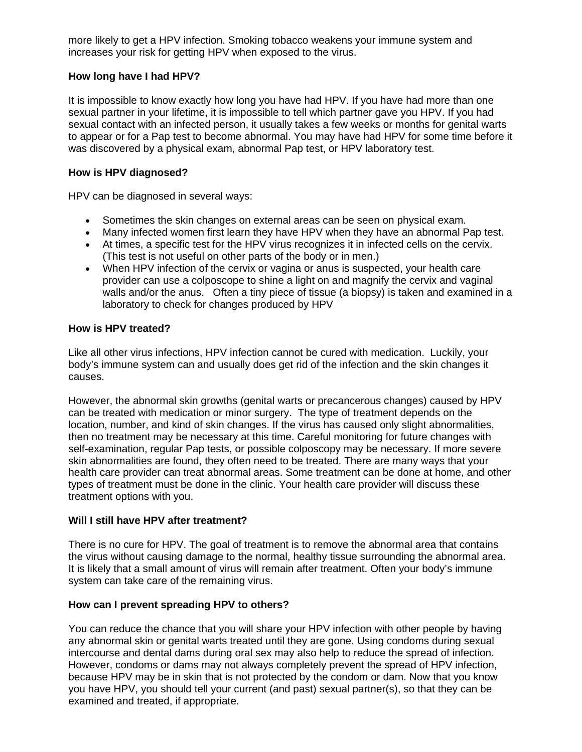more likely to get a HPV infection. Smoking tobacco weakens your immune system and increases your risk for getting HPV when exposed to the virus.

# **How long have I had HPV?**

It is impossible to know exactly how long you have had HPV. If you have had more than one sexual partner in your lifetime, it is impossible to tell which partner gave you HPV. If you had sexual contact with an infected person, it usually takes a few weeks or months for genital warts to appear or for a Pap test to become abnormal. You may have had HPV for some time before it was discovered by a physical exam, abnormal Pap test, or HPV laboratory test.

## **How is HPV diagnosed?**

HPV can be diagnosed in several ways:

- Sometimes the skin changes on external areas can be seen on physical exam.
- Many infected women first learn they have HPV when they have an abnormal Pap test.
- At times, a specific test for the HPV virus recognizes it in infected cells on the cervix. (This test is not useful on other parts of the body or in men.)
- When HPV infection of the cervix or vagina or anus is suspected, your health care provider can use a colposcope to shine a light on and magnify the cervix and vaginal walls and/or the anus. Often a tiny piece of tissue (a biopsy) is taken and examined in a laboratory to check for changes produced by HPV

## **How is HPV treated?**

Like all other virus infections, HPV infection cannot be cured with medication. Luckily, your body's immune system can and usually does get rid of the infection and the skin changes it causes.

However, the abnormal skin growths (genital warts or precancerous changes) caused by HPV can be treated with medication or minor surgery. The type of treatment depends on the location, number, and kind of skin changes. If the virus has caused only slight abnormalities, then no treatment may be necessary at this time. Careful monitoring for future changes with self-examination, regular Pap tests, or possible colposcopy may be necessary. If more severe skin abnormalities are found, they often need to be treated. There are many ways that your health care provider can treat abnormal areas. Some treatment can be done at home, and other types of treatment must be done in the clinic. Your health care provider will discuss these treatment options with you.

### **Will I still have HPV after treatment?**

There is no cure for HPV. The goal of treatment is to remove the abnormal area that contains the virus without causing damage to the normal, healthy tissue surrounding the abnormal area. It is likely that a small amount of virus will remain after treatment. Often your body's immune system can take care of the remaining virus.

### **How can I prevent spreading HPV to others?**

You can reduce the chance that you will share your HPV infection with other people by having any abnormal skin or genital warts treated until they are gone. Using condoms during sexual intercourse and dental dams during oral sex may also help to reduce the spread of infection. However, condoms or dams may not always completely prevent the spread of HPV infection, because HPV may be in skin that is not protected by the condom or dam. Now that you know you have HPV, you should tell your current (and past) sexual partner(s), so that they can be examined and treated, if appropriate.